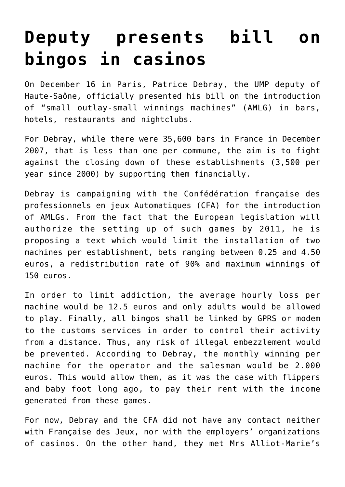## **[Deputy presents bill on](https://www.isa-guide.de/english-news/articles/24013.html) [bingos in casinos](https://www.isa-guide.de/english-news/articles/24013.html)**

On December 16 in Paris, Patrice Debray, the UMP deputy of Haute-Saône, officially presented his bill on the introduction of "small outlay-small winnings machines" (AMLG) in bars, hotels, restaurants and nightclubs.

For Debray, while there were 35,600 bars in France in December 2007, that is less than one per commune, the aim is to fight against the closing down of these establishments (3,500 per year since 2000) by supporting them financially.

Debray is campaigning with the Confédération française des professionnels en jeux Automatiques (CFA) for the introduction of AMLGs. From the fact that the European legislation will authorize the setting up of such games by 2011, he is proposing a text which would limit the installation of two machines per establishment, bets ranging between 0.25 and 4.50 euros, a redistribution rate of 90% and maximum winnings of 150 euros.

In order to limit addiction, the average hourly loss per machine would be 12.5 euros and only adults would be allowed to play. Finally, all bingos shall be linked by GPRS or modem to the customs services in order to control their activity from a distance. Thus, any risk of illegal embezzlement would be prevented. According to Debray, the monthly winning per machine for the operator and the salesman would be 2.000 euros. This would allow them, as it was the case with flippers and baby foot long ago, to pay their rent with the income generated from these games.

For now, Debray and the CFA did not have any contact neither with Française des Jeux, nor with the employers' organizations of casinos. On the other hand, they met Mrs Alliot-Marie's